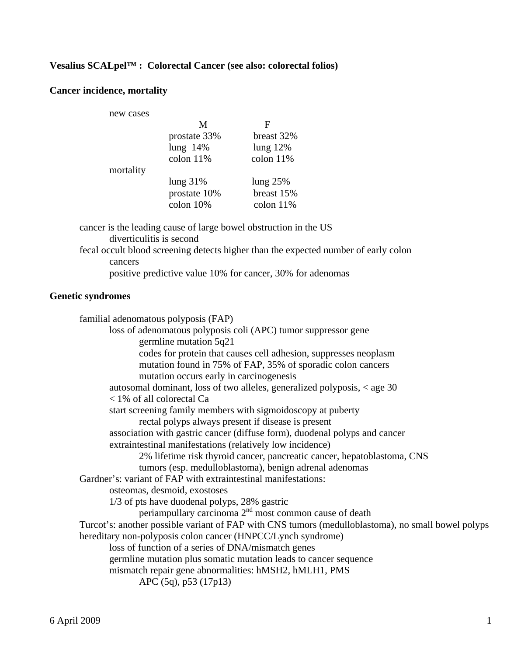### **Vesalius SCALpel™ : Colorectal Cancer (see also: colorectal folios)**

#### **Cancer incidence, mortality**

| new cases |              |             |
|-----------|--------------|-------------|
|           | M            | F           |
|           | prostate 33% | breast 32%  |
|           | lung $14%$   | lung $12\%$ |
|           | colon 11%    | colon 11%   |
| mortality |              |             |
|           | lung $31\%$  | lung $25%$  |
|           | prostate 10% | breast 15%  |
|           | colon 10%    | colon $11%$ |
|           |              |             |

 cancer is the leading cause of large bowel obstruction in the US diverticulitis is second fecal occult blood screening detects higher than the expected number of early colon cancers positive predictive value 10% for cancer, 30% for adenomas

#### **Genetic syndromes**

 familial adenomatous polyposis (FAP) loss of adenomatous polyposis coli (APC) tumor suppressor gene germline mutation 5q21 codes for protein that causes cell adhesion, suppresses neoplasm mutation found in 75% of FAP, 35% of sporadic colon cancers mutation occurs early in carcinogenesis autosomal dominant, loss of two alleles, generalized polyposis, < age 30 < 1% of all colorectal Ca start screening family members with sigmoidoscopy at puberty rectal polyps always present if disease is present association with gastric cancer (diffuse form), duodenal polyps and cancer extraintestinal manifestations (relatively low incidence) 2% lifetime risk thyroid cancer, pancreatic cancer, hepatoblastoma, CNS tumors (esp. medulloblastoma), benign adrenal adenomas Gardner's: variant of FAP with extraintestinal manifestations: osteomas, desmoid, exostoses 1/3 of pts have duodenal polyps, 28% gastric periampullary carcinoma  $2<sup>nd</sup>$  most common cause of death Turcot's: another possible variant of FAP with CNS tumors (medulloblastoma), no small bowel polyps hereditary non-polyposis colon cancer (HNPCC/Lynch syndrome) loss of function of a series of DNA/mismatch genes germline mutation plus somatic mutation leads to cancer sequence mismatch repair gene abnormalities: hMSH2, hMLH1, PMS APC (5q), p53 (17p13)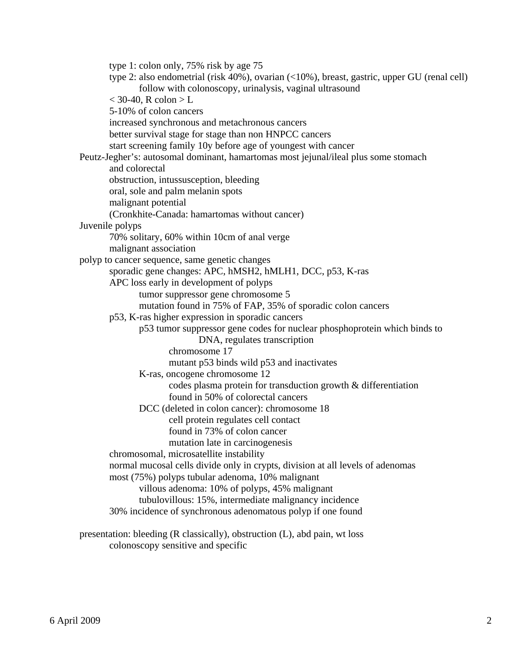type 1: colon only, 75% risk by age 75 type 2: also endometrial (risk 40%), ovarian (<10%), breast, gastric, upper GU (renal cell) follow with colonoscopy, urinalysis, vaginal ultrasound  $<$  30-40, R colon  $>$  L 5-10% of colon cancers increased synchronous and metachronous cancers better survival stage for stage than non HNPCC cancers start screening family 10y before age of youngest with cancer Peutz-Jegher's: autosomal dominant, hamartomas most jejunal/ileal plus some stomach and colorectal obstruction, intussusception, bleeding oral, sole and palm melanin spots malignant potential (Cronkhite-Canada: hamartomas without cancer) Juvenile polyps 70% solitary, 60% within 10cm of anal verge malignant association polyp to cancer sequence, same genetic changes sporadic gene changes: APC, hMSH2, hMLH1, DCC, p53, K-ras APC loss early in development of polyps tumor suppressor gene chromosome 5 mutation found in 75% of FAP, 35% of sporadic colon cancers p53, K-ras higher expression in sporadic cancers p53 tumor suppressor gene codes for nuclear phosphoprotein which binds to DNA, regulates transcription chromosome 17 mutant p53 binds wild p53 and inactivates K-ras, oncogene chromosome 12 codes plasma protein for transduction growth & differentiation found in 50% of colorectal cancers DCC (deleted in colon cancer): chromosome 18 cell protein regulates cell contact found in 73% of colon cancer mutation late in carcinogenesis chromosomal, microsatellite instability normal mucosal cells divide only in crypts, division at all levels of adenomas most (75%) polyps tubular adenoma, 10% malignant villous adenoma: 10% of polyps, 45% malignant tubulovillous: 15%, intermediate malignancy incidence 30% incidence of synchronous adenomatous polyp if one found

 presentation: bleeding (R classically), obstruction (L), abd pain, wt loss colonoscopy sensitive and specific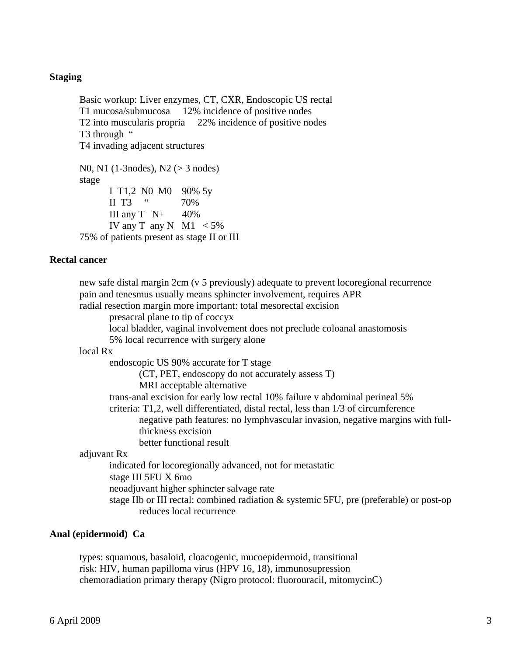### **Staging**

Basic workup: Liver enzymes, CT, CXR, Endoscopic US rectal T1 mucosa/submucosa 12% incidence of positive nodes T2 into muscularis propria 22% incidence of positive nodes T<sub>3</sub> through " T4 invading adjacent structures N0, N1 (1-3nodes), N2 (> 3 nodes) stage I T1,2 N0 M0 90% 5y II T3  $\frac{1}{2}$  70%

III any  $T \quad N+ 40\%$ IV any T any N M1  $<$  5% 75% of patients present as stage II or III

#### **Rectal cancer**

 new safe distal margin 2cm (v 5 previously) adequate to prevent locoregional recurrence pain and tenesmus usually means sphincter involvement, requires APR radial resection margin more important: total mesorectal excision presacral plane to tip of coccyx local bladder, vaginal involvement does not preclude coloanal anastomosis 5% local recurrence with surgery alone local Rx endoscopic US 90% accurate for T stage (CT, PET, endoscopy do not accurately assess T) MRI acceptable alternative trans-anal excision for early low rectal 10% failure v abdominal perineal 5% criteria: T1,2, well differentiated, distal rectal, less than 1/3 of circumference negative path features: no lymphvascular invasion, negative margins with full thickness excision better functional result adjuvant Rx indicated for locoregionally advanced, not for metastatic stage III 5FU X 6mo neoadjuvant higher sphincter salvage rate stage IIb or III rectal: combined radiation & systemic 5FU, pre (preferable) or post-op reduces local recurrence

#### **Anal (epidermoid) Ca**

 types: squamous, basaloid, cloacogenic, mucoepidermoid, transitional risk: HIV, human papilloma virus (HPV 16, 18), immunosupression chemoradiation primary therapy (Nigro protocol: fluorouracil, mitomycinC)